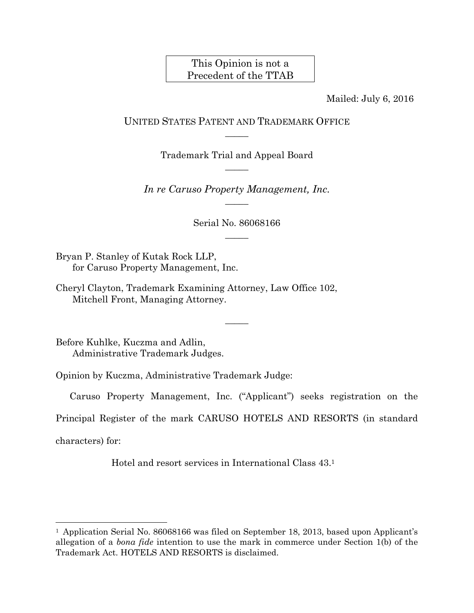## This Opinion is not a Precedent of the TTAB

Mailed: July 6, 2016

## UNITED STATES PATENT AND TRADEMARK OFFICE  $\overline{\phantom{a}}$

Trademark Trial and Appeal Board  $\overline{\phantom{a}}$ 

*In re Caruso Property Management, Inc.*   $\overline{\phantom{a}}$ 

> Serial No. 86068166  $\overline{\phantom{a}}$

Bryan P. Stanley of Kutak Rock LLP, for Caruso Property Management, Inc.

Cheryl Clayton, Trademark Examining Attorney, Law Office 102, Mitchell Front, Managing Attorney.

Before Kuhlke, Kuczma and Adlin, Administrative Trademark Judges.

Opinion by Kuczma, Administrative Trademark Judge:

Caruso Property Management, Inc. ("Applicant") seeks registration on the

 $\overline{\phantom{a}}$ 

Principal Register of the mark CARUSO HOTELS AND RESORTS (in standard

characters) for:

l

Hotel and resort services in International Class 43.1

<sup>&</sup>lt;sup>1</sup> Application Serial No. 86068166 was filed on September 18, 2013, based upon Applicant's allegation of a *bona fide* intention to use the mark in commerce under Section 1(b) of the Trademark Act. HOTELS AND RESORTS is disclaimed.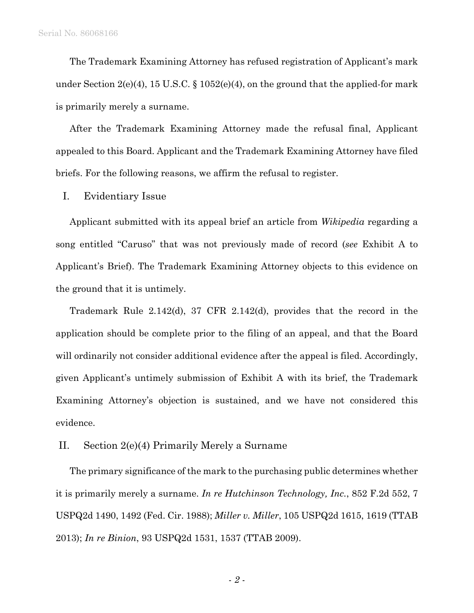The Trademark Examining Attorney has refused registration of Applicant's mark under Section 2(e)(4), 15 U.S.C.  $\S 1052(e)(4)$ , on the ground that the applied-for mark is primarily merely a surname.

After the Trademark Examining Attorney made the refusal final, Applicant appealed to this Board. Applicant and the Trademark Examining Attorney have filed briefs. For the following reasons, we affirm the refusal to register.

I. Evidentiary Issue

Applicant submitted with its appeal brief an article from *Wikipedia* regarding a song entitled "Caruso" that was not previously made of record (*see* Exhibit A to Applicant's Brief). The Trademark Examining Attorney objects to this evidence on the ground that it is untimely.

Trademark Rule 2.142(d), 37 CFR 2.142(d), provides that the record in the application should be complete prior to the filing of an appeal, and that the Board will ordinarily not consider additional evidence after the appeal is filed. Accordingly, given Applicant's untimely submission of Exhibit A with its brief, the Trademark Examining Attorney's objection is sustained, and we have not considered this evidence.

## II. Section 2(e)(4) Primarily Merely a Surname

The primary significance of the mark to the purchasing public determines whether it is primarily merely a surname. *In re Hutchinson Technology, Inc.*, 852 F.2d 552, 7 USPQ2d 1490, 1492 (Fed. Cir. 1988); *Miller v. Miller*, 105 USPQ2d 1615, 1619 (TTAB 2013); *In re Binion*, 93 USPQ2d 1531, 1537 (TTAB 2009).

- *2* -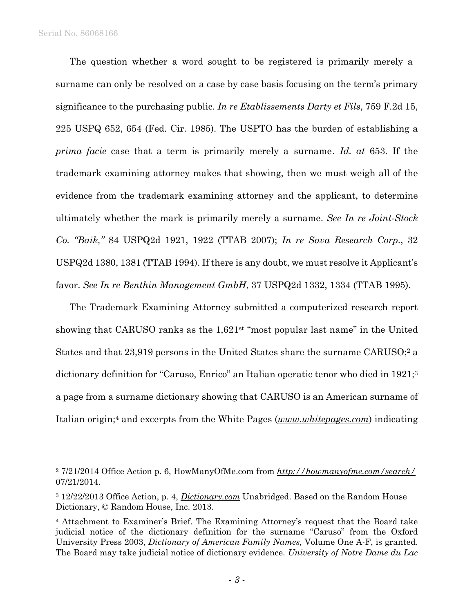$\overline{a}$ 

The question whether a word sought to be registered is primarily merely a surname can only be resolved on a case by case basis focusing on the term's primary significance to the purchasing public. *In re Etablissements Darty et Fils*, 759 F.2d 15, 225 USPQ 652, 654 (Fed. Cir. 1985). The USPTO has the burden of establishing a *prima facie* case that a term is primarily merely a surname. *Id. at* 653. If the trademark examining attorney makes that showing, then we must weigh all of the evidence from the trademark examining attorney and the applicant, to determine ultimately whether the mark is primarily merely a surname. *See In re Joint-Stock Co. "Baik,"* 84 USPQ2d 1921, 1922 (TTAB 2007); *In re Sava Research Corp*., 32 USPQ2d 1380, 1381 (TTAB 1994). If there is any doubt, we must resolve it Applicant's favor. *See In re Benthin Management GmbH*, 37 USPQ2d 1332, 1334 (TTAB 1995).

The Trademark Examining Attorney submitted a computerized research report showing that CARUSO ranks as the 1,621st "most popular last name" in the United States and that 23,919 persons in the United States share the surname CARUSO;<sup>2</sup> a dictionary definition for "Caruso, Enrico" an Italian operatic tenor who died in 1921;<sup>3</sup> a page from a surname dictionary showing that CARUSO is an American surname of Italian origin;4 and excerpts from the White Pages (*www.whitepages.com*) indicating

<sup>2 7/21/2014</sup> Office Action p. 6, HowManyOfMe.com from *http://howmanyofme.com/search/* 07/21/2014.

<sup>3 12/22/2013</sup> Office Action, p. 4, *Dictionary.com* Unabridged. Based on the Random House Dictionary, © Random House, Inc. 2013.

<sup>4</sup> Attachment to Examiner's Brief. The Examining Attorney's request that the Board take judicial notice of the dictionary definition for the surname "Caruso" from the Oxford University Press 2003, *Dictionary of American Family Names,* Volume One A-F, is granted. The Board may take judicial notice of dictionary evidence. *University of Notre Dame du Lac*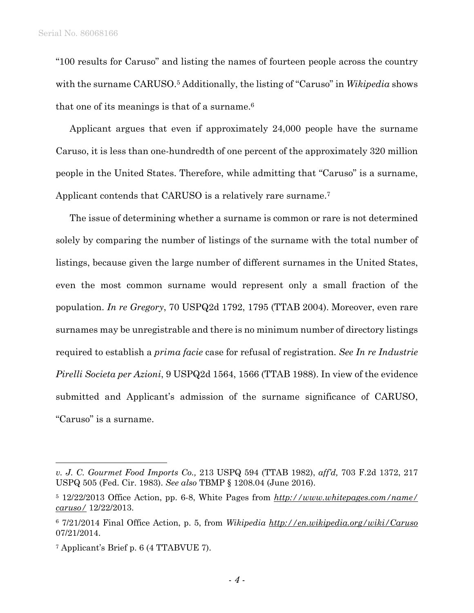"100 results for Caruso" and listing the names of fourteen people across the country with the surname CARUSO.<sup>5</sup> Additionally, the listing of "Caruso" in *Wikipedia* shows that one of its meanings is that of a surname.6

Applicant argues that even if approximately 24,000 people have the surname Caruso, it is less than one-hundredth of one percent of the approximately 320 million people in the United States. Therefore, while admitting that "Caruso" is a surname, Applicant contends that CARUSO is a relatively rare surname.7

The issue of determining whether a surname is common or rare is not determined solely by comparing the number of listings of the surname with the total number of listings, because given the large number of different surnames in the United States, even the most common surname would represent only a small fraction of the population. *In re Gregory*, 70 USPQ2d 1792, 1795 (TTAB 2004). Moreover, even rare surnames may be unregistrable and there is no minimum number of directory listings required to establish a *prima facie* case for refusal of registration. *See In re Industrie Pirelli Societa per Azioni*, 9 USPQ2d 1564, 1566 (TTAB 1988). In view of the evidence submitted and Applicant's admission of the surname significance of CARUSO, "Caruso" is a surname.

l

*v. J. C. Gourmet Food Imports Co.,* 213 USPQ 594 (TTAB 1982), *aff'd,* 703 F.2d 1372, 217 USPQ 505 (Fed. Cir. 1983). *See also* TBMP § 1208.04 (June 2016).

<sup>5 12/22/2013</sup> Office Action, pp. 6-8, White Pages from *http://www.whitepages.com/name/ caruso/* 12/22/2013.

<sup>6 7/21/2014</sup> Final Office Action, p. 5, from *Wikipedia http://en.wikipedia.org/wiki/Caruso* 07/21/2014.

<sup>7</sup> Applicant's Brief p. 6 (4 TTABVUE 7).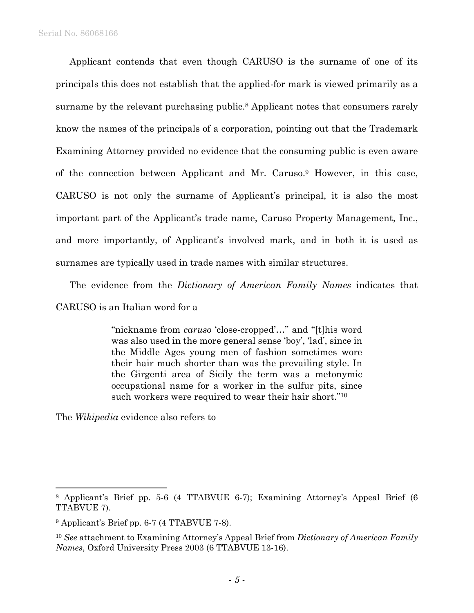Applicant contends that even though CARUSO is the surname of one of its principals this does not establish that the applied-for mark is viewed primarily as a surname by the relevant purchasing public.<sup>8</sup> Applicant notes that consumers rarely know the names of the principals of a corporation, pointing out that the Trademark Examining Attorney provided no evidence that the consuming public is even aware of the connection between Applicant and Mr. Caruso.9 However, in this case, CARUSO is not only the surname of Applicant's principal, it is also the most important part of the Applicant's trade name, Caruso Property Management, Inc., and more importantly, of Applicant's involved mark, and in both it is used as surnames are typically used in trade names with similar structures.

The evidence from the *Dictionary of American Family Names* indicates that CARUSO is an Italian word for a

> "nickname from *caruso* 'close-cropped'…" and "[t]his word was also used in the more general sense 'boy', 'lad', since in the Middle Ages young men of fashion sometimes wore their hair much shorter than was the prevailing style. In the Girgenti area of Sicily the term was a metonymic occupational name for a worker in the sulfur pits, since such workers were required to wear their hair short."10

The *Wikipedia* evidence also refers to

 $\overline{a}$ 

<sup>8</sup> Applicant's Brief pp. 5-6 (4 TTABVUE 6-7); Examining Attorney's Appeal Brief (6 TTABVUE 7).

<sup>9</sup> Applicant's Brief pp. 6-7 (4 TTABVUE 7-8).

<sup>10</sup> *See* attachment to Examining Attorney's Appeal Brief from *Dictionary of American Family Names*, Oxford University Press 2003 (6 TTABVUE 13-16).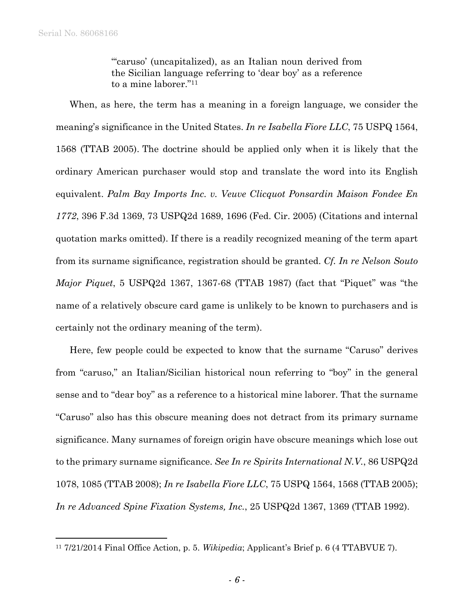1

"'caruso' (uncapitalized), as an Italian noun derived from the Sicilian language referring to 'dear boy' as a reference to a mine laborer."11

When, as here, the term has a meaning in a foreign language, we consider the meaning's significance in the United States. *In re Isabella Fiore LLC*, 75 USPQ 1564, 1568 (TTAB 2005). The doctrine should be applied only when it is likely that the ordinary American purchaser would stop and translate the word into its English equivalent. *Palm Bay Imports Inc. v. Veuve Clicquot Ponsardin Maison Fondee En 1772*, 396 F.3d 1369, 73 USPQ2d 1689, 1696 (Fed. Cir. 2005) (Citations and internal quotation marks omitted). If there is a readily recognized meaning of the term apart from its surname significance, registration should be granted. *Cf. In re Nelson Souto Major Piquet*, 5 USPQ2d 1367, 1367-68 (TTAB 1987) (fact that "Piquet" was "the name of a relatively obscure card game is unlikely to be known to purchasers and is certainly not the ordinary meaning of the term).

Here, few people could be expected to know that the surname "Caruso" derives from "caruso," an Italian/Sicilian historical noun referring to "boy" in the general sense and to "dear boy" as a reference to a historical mine laborer. That the surname "Caruso" also has this obscure meaning does not detract from its primary surname significance. Many surnames of foreign origin have obscure meanings which lose out to the primary surname significance. *See In re Spirits International N.V.*, 86 USPQ2d 1078, 1085 (TTAB 2008); *In re Isabella Fiore LLC*, 75 USPQ 1564, 1568 (TTAB 2005); *In re Advanced Spine Fixation Systems, Inc.*, 25 USPQ2d 1367, 1369 (TTAB 1992).

<sup>11 7/21/2014</sup> Final Office Action, p. 5. *Wikipedia*; Applicant's Brief p. 6 (4 TTABVUE 7).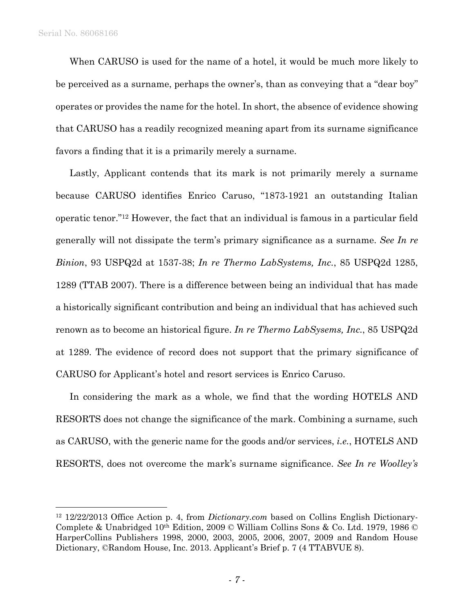1

When CARUSO is used for the name of a hotel, it would be much more likely to be perceived as a surname, perhaps the owner's, than as conveying that a "dear boy" operates or provides the name for the hotel. In short, the absence of evidence showing that CARUSO has a readily recognized meaning apart from its surname significance favors a finding that it is a primarily merely a surname.

Lastly, Applicant contends that its mark is not primarily merely a surname because CARUSO identifies Enrico Caruso, "1873-1921 an outstanding Italian operatic tenor."12 However, the fact that an individual is famous in a particular field generally will not dissipate the term's primary significance as a surname. *See In re Binion*, 93 USPQ2d at 1537-38; *In re Thermo LabSystems, Inc.*, 85 USPQ2d 1285, 1289 (TTAB 2007). There is a difference between being an individual that has made a historically significant contribution and being an individual that has achieved such renown as to become an historical figure. *In re Thermo LabSysems, Inc.*, 85 USPQ2d at 1289. The evidence of record does not support that the primary significance of CARUSO for Applicant's hotel and resort services is Enrico Caruso.

In considering the mark as a whole, we find that the wording HOTELS AND RESORTS does not change the significance of the mark. Combining a surname, such as CARUSO, with the generic name for the goods and/or services, *i.e.*, HOTELS AND RESORTS, does not overcome the mark's surname significance. *See In re Woolley's* 

<sup>12 12/22/2013</sup> Office Action p. 4, from *Dictionary.com* based on Collins English Dictionary-Complete & Unabridged 10th Edition, 2009 © William Collins Sons & Co. Ltd. 1979, 1986 © HarperCollins Publishers 1998, 2000, 2003, 2005, 2006, 2007, 2009 and Random House Dictionary, ©Random House, Inc. 2013. Applicant's Brief p. 7 (4 TTABVUE 8).